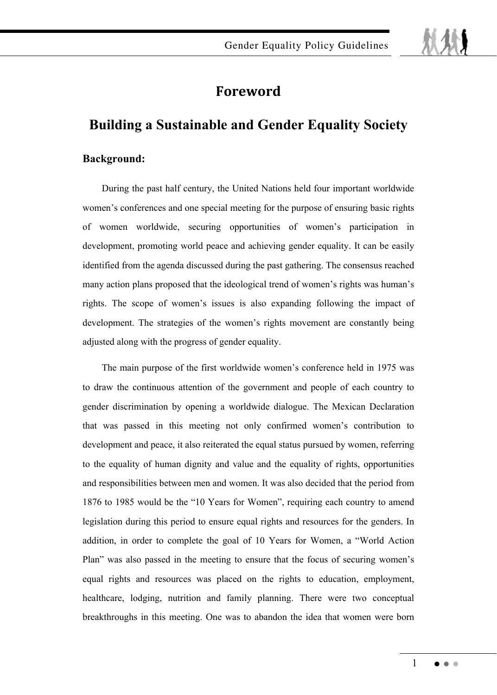# **-**

## **Building a Sustainable and Gender Equality Society**

## **Background:**

During the past half century, the United Nations held four important worldwide women's conferences and one special meeting for the purpose of ensuring basic rights of women worldwide, securing opportunities of women's participation in development, promoting world peace and achieving gender equality. It can be easily identified from the agenda discussed during the past gathering. The consensus reached many action plans proposed that the ideological trend of women's rights was human's rights. The scope of women's issues is also expanding following the impact of development. The strategies of the women's rights movement are constantly being adjusted along with the progress of gender equality.

The main purpose of the first worldwide women's conference held in 1975 was to draw the continuous attention of the government and people of each country to gender discrimination by opening a worldwide dialogue. The Mexican Declaration that was passed in this meeting not only confirmed women's contribution to development and peace, it also reiterated the equal status pursued by women, referring to the equality of human dignity and value and the equality of rights, opportunities and responsibilities between men and women. It was also decided that the period from 1876 to 1985 would be the "10 Years for Women", requiring each country to amend legislation during this period to ensure equal rights and resources for the genders. In addition, in order to complete the goal of 10 Years for Women, a "World Action Plan" was also passed in the meeting to ensure that the focus of securing women's equal rights and resources was placed on the rights to education, employment, healthcare, lodging, nutrition and family planning. There were two conceptual breakthroughs in this meeting. One was to abandon the idea that women were born

1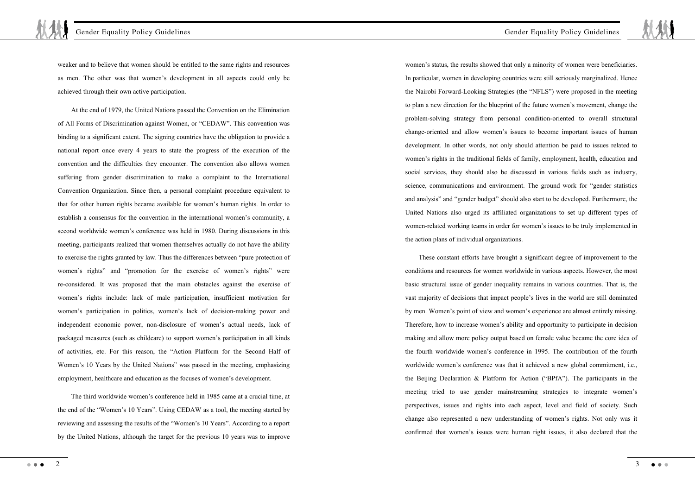weaker and to believe that women should be entitled to the same rights and resources as men. The other was that women's development in all aspects could only be achieved through their own active participation.

At the end of 1979, the United Nations passed the Convention on the Elimination of All Forms of Discrimination against Women, or "CEDAW". This convention was binding to a significant extent. The signing countries have the obligation to provide a national report once every 4 years to state the progress of the execution of the convention and the difficulties they encounter. The convention also allows women suffering from gender discrimination to make a complaint to the International Convention Organization. Since then, a personal complaint procedure equivalent to that for other human rights became available for women's human rights. In order to establish a consensus for the convention in the international women's community, a second worldwide women's conference was held in 1980. During discussions in this meeting, participants realized that women themselves actually do not have the ability to exercise the rights granted by law. Thus the differences between "pure protection of women's rights" and "promotion for the exercise of women's rights" were re-considered. It was proposed that the main obstacles against the exercise of women's rights include: lack of male participation, insufficient motivation for women's participation in politics, women's lack of decision-making power and independent economic power, non-disclosure of women's actual needs, lack of packaged measures (such as childcare) to support women's participation in all kinds of activities, etc. For this reason, the "Action Platform for the Second Half of Women's 10 Years by the United Nations" was passed in the meeting, emphasizing employment, healthcare and education as the focuses of women's development.

The third worldwide women's conference held in 1985 came at a crucial time, at the end of the "Women's 10 Years". Using CEDAW as a tool, the meeting started by reviewing and assessing the results of the "Women's 10 Years". According to a report by the United Nations, although the target for the previous 10 years was to improve

women's status, the results showed that only a minority of women were beneficiaries. In particular, women in developing countries were still seriously marginalized. Hence the Nairobi Forward-Looking Strategies (the "NFLS") were proposed in the meeting to plan a new direction for the blueprint of the future women's movement, change the problem-solving strategy from personal condition-oriented to overall structural change-oriented and allow women's issues to become important issues of human development. In other words, not only should attention be paid to issues related to women's rights in the traditional fields of family, employment, health, education and social services, they should also be discussed in various fields such as industry, science, communications and environment. The ground work for "gender statistics and analysis" and "gender budget" should also start to be developed. Furthermore, the United Nations also urged its affiliated organizations to set up different types of women-related working teams in order for women's issues to be truly implemented in the action plans of individual organizations.

Gender Equality Policy Guidelines

These constant efforts have brought a significant degree of improvement to the conditions and resources for women worldwide in various aspects. However, the most basic structural issue of gender inequality remains in various countries. That is, the vast majority of decisions that impact people's lives in the world are still dominated by men. Women's point of view and women's experience are almost entirely missing. Therefore, how to increase women's ability and opportunity to participate in decision making and allow more policy output based on female value became the core idea of the fourth worldwide women's conference in 1995. The contribution of the fourth worldwide women's conference was that it achieved a new global commitment, i.e., the Beijing Declaration & Platform for Action ("BPfA"). The participants in the meeting tried to use gender mainstreaming strategies to integrate women's perspectives, issues and rights into each aspect, level and field of society. Such change also represented a new understanding of women's rights. Not only was it confirmed that women's issues were human right issues, it also declared that the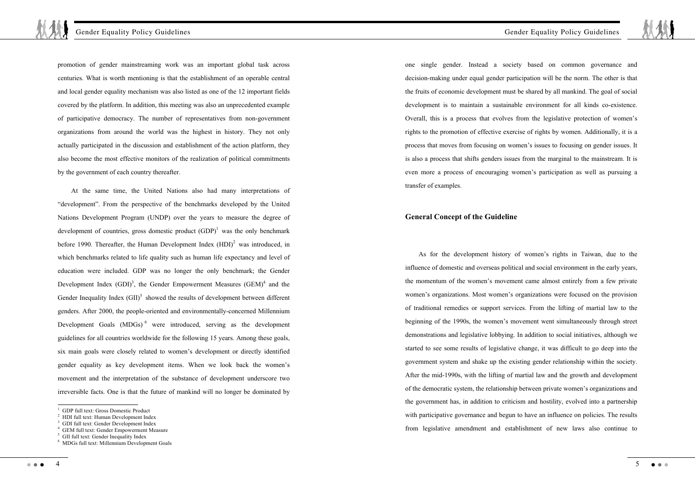promotion of gender mainstreaming work was an important global task across centuries. What is worth mentioning is that the establishment of an operable central and local gender equality mechanism was also listed as one of the 12 important fields covered by the platform. In addition, this meeting was also an unprecedented example of participative democracy. The number of representatives from non-government organizations from around the world was the highest in history. They not only actually participated in the discussion and establishment of the action platform, they also become the most effective monitors of the realization of political commitments by the government of each country thereafter.

At the same time, the United Nations also had many interpretations of "development". From the perspective of the benchmarks developed by the United Nations Development Program (UNDP) over the years to measure the degree of development of countries, gross domestic product  $(GDP)^{1}$  was the only benchmark before 1990. Thereafter, the Human Development Index  $(HDI)^2$  was introduced, in which benchmarks related to life quality such as human life expectancy and level of education were included. GDP was no longer the only benchmark; the Gender Development Index  $(GDI)^3$ , the Gender Empowerment Measures  $(GEM)^4$  and the Gender Inequality Index  $(GII)^5$  showed the results of development between different genders. After 2000, the people-oriented and environmentally-concerned Millennium Development Goals (MDGs)<sup>6</sup> were introduced, serving as the development guidelines for all countries worldwide for the following 15 years. Among these goals, six main goals were closely related to women's development or directly identified gender equality as key development items. When we look back the women's movement and the interpretation of the substance of development underscore two irreversible facts. One is that the future of mankind will no longer be dominated by

 $\overline{1}$ 

4

one single gender. Instead a society based on common governance and decision-making under equal gender participation will be the norm. The other is that the fruits of economic development must be shared by all mankind. The goal of social development is to maintain a sustainable environment for all kinds co-existence. Overall, this is a process that evolves from the legislative protection of women's rights to the promotion of effective exercise of rights by women. Additionally, it is a process that moves from focusing on women's issues to focusing on gender issues. It is also a process that shifts genders issues from the marginal to the mainstream. It is even more a process of encouraging women's participation as well as pursuing a transfer of examples.

## **General Concept of the Guideline**

As for the development history of women's rights in Taiwan, due to the influence of domestic and overseas political and social environment in the early years, the momentum of the women's movement came almost entirely from a few private women's organizations. Most women's organizations were focused on the provision of traditional remedies or support services. From the lifting of martial law to the beginning of the 1990s, the women's movement went simultaneously through street demonstrations and legislative lobbying. In addition to social initiatives, although we started to see some results of legislative change, it was difficult to go deep into the government system and shake up the existing gender relationship within the society. After the mid-1990s, with the lifting of martial law and the growth and development of the democratic system, the relationship between private women's organizations and the government has, in addition to criticism and hostility, evolved into a partnership with participative governance and begun to have an influence on policies. The results from legislative amendment and establishment of new laws also continue to

<sup>1</sup> GDP full text: Gross Domestic Product

<sup>2</sup> HDI full text: Human Development Index

<sup>3</sup> GDI full text: Gender Development Index

<sup>4</sup> GEM full text: Gender Empowerment Measure

<sup>5</sup> GII full text: Gender Inequality Index

<sup>6</sup> MDGs full text: Millennium Development Goals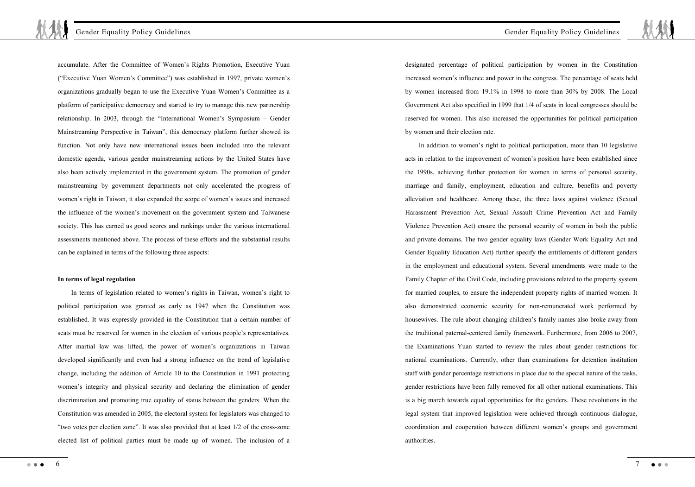accumulate. After the Committee of Women's Rights Promotion, Executive Yuan ("Executive Yuan Women's Committee") was established in 1997, private women's organizations gradually began to use the Executive Yuan Women's Committee as a platform of participative democracy and started to try to manage this new partnership relationship. In 2003, through the "International Women's Symposium – Gender Mainstreaming Perspective in Taiwan", this democracy platform further showed its function. Not only have new international issues been included into the relevant domestic agenda, various gender mainstreaming actions by the United States have also been actively implemented in the government system. The promotion of gender mainstreaming by government departments not only accelerated the progress of women's right in Taiwan, it also expanded the scope of women's issues and increased the influence of the women's movement on the government system and Taiwanese society. This has earned us good scores and rankings under the various international assessments mentioned above. The process of these efforts and the substantial results can be explained in terms of the following three aspects:

## **In terms of legal regulation**

In terms of legislation related to women's rights in Taiwan, women's right to political participation was granted as early as 1947 when the Constitution was established. It was expressly provided in the Constitution that a certain number of seats must be reserved for women in the election of various people's representatives. After martial law was lifted, the power of women's organizations in Taiwan developed significantly and even had a strong influence on the trend of legislative change, including the addition of Article 10 to the Constitution in 1991 protecting women's integrity and physical security and declaring the elimination of gender discrimination and promoting true equality of status between the genders. When the Constitution was amended in 2005, the electoral system for legislators was changed to "two votes per election zone". It was also provided that at least 1/2 of the cross-zone elected list of political parties must be made up of women. The inclusion of a

designated percentage of political participation by women in the Constitution increased women's influence and power in the congress. The percentage of seats held by women increased from 19.1% in 1998 to more than 30% by 2008. The Local Government Act also specified in 1999 that 1/4 of seats in local congresses should be reserved for women. This also increased the opportunities for political participation by women and their election rate.

In addition to women's right to political participation, more than 10 legislative acts in relation to the improvement of women's position have been established since the 1990s, achieving further protection for women in terms of personal security, marriage and family, employment, education and culture, benefits and poverty alleviation and healthcare. Among these, the three laws against violence (Sexual Harassment Prevention Act, Sexual Assault Crime Prevention Act and Family Violence Prevention Act) ensure the personal security of women in both the public and private domains. The two gender equality laws (Gender Work Equality Act and Gender Equality Education Act) further specify the entitlements of different genders in the employment and educational system. Several amendments were made to the Family Chapter of the Civil Code, including provisions related to the property system for married couples, to ensure the independent property rights of married women. It also demonstrated economic security for non-remunerated work performed by housewives. The rule about changing children's family names also broke away from the traditional paternal-centered family framework. Furthermore, from 2006 to 2007, the Examinations Yuan started to review the rules about gender restrictions for national examinations. Currently, other than examinations for detention institution staff with gender percentage restrictions in place due to the special nature of the tasks, gender restrictions have been fully removed for all other national examinations. This is a big march towards equal opportunities for the genders. These revolutions in the legal system that improved legislation were achieved through continuous dialogue, coordination and cooperation between different women's groups and government authorities.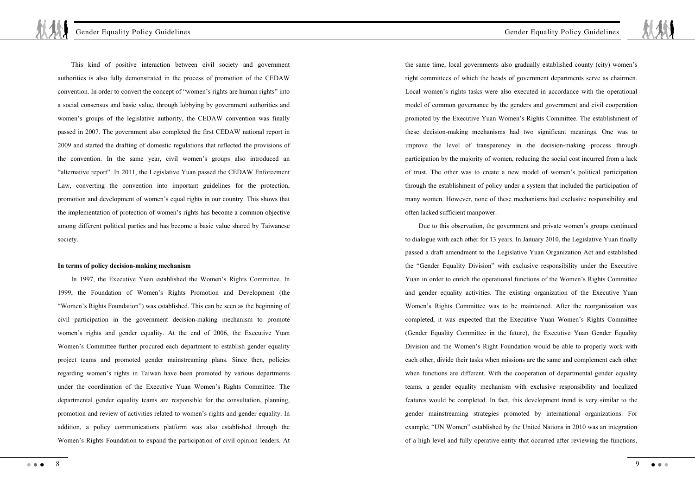This kind of positive interaction between civil society and government authorities is also fully demonstrated in the process of promotion of the CEDAW convention. In order to convert the concept of "women's rights are human rights" into a social consensus and basic value, through lobbying by government authorities and women's groups of the legislative authority, the CEDAW convention was finally passed in 2007. The government also completed the first CEDAW national report in 2009 and started the drafting of domestic regulations that reflected the provisions of the convention. In the same year, civil women's groups also introduced an "alternative report". In 2011, the Legislative Yuan passed the CEDAW Enforcement Law, converting the convention into important guidelines for the protection, promotion and development of women's equal rights in our country. This shows that the implementation of protection of women's rights has become a common objective among different political parties and has become a basic value shared by Taiwanese society.

#### **In terms of policy decision-making mechanism**

In 1997, the Executive Yuan established the Women's Rights Committee. In 1999, the Foundation of Women's Rights Promotion and Development (the "Women's Rights Foundation") was established. This can be seen as the beginning of civil participation in the government decision-making mechanism to promote women's rights and gender equality. At the end of 2006, the Executive Yuan Women's Committee further procured each department to establish gender equality project teams and promoted gender mainstreaming plans. Since then, policies regarding women's rights in Taiwan have been promoted by various departments under the coordination of the Executive Yuan Women's Rights Committee. The departmental gender equality teams are responsible for the consultation, planning, promotion and review of activities related to women's rights and gender equality. In addition, a policy communications platform was also established through the Women's Rights Foundation to expand the participation of civil opinion leaders. At

the same time, local governments also gradually established county (city) women's right committees of which the heads of government departments serve as chairmen. Local women's rights tasks were also executed in accordance with the operational model of common governance by the genders and government and civil cooperation promoted by the Executive Yuan Women's Rights Committee. The establishment of these decision-making mechanisms had two significant meanings. One was to improve the level of transparency in the decision-making process through participation by the majority of women, reducing the social cost incurred from a lack of trust. The other was to create a new model of women's political participation through the establishment of policy under a system that included the participation of many women. However, none of these mechanisms had exclusive responsibility and often lacked sufficient manpower.

Due to this observation, the government and private women's groups continued to dialogue with each other for 13 years. In January 2010, the Legislative Yuan finally passed a draft amendment to the Legislative Yuan Organization Act and established the "Gender Equality Division" with exclusive responsibility under the Executive Yuan in order to enrich the operational functions of the Women's Rights Committee and gender equality activities. The existing organization of the Executive Yuan Women's Rights Committee was to be maintained. After the reorganization was completed, it was expected that the Executive Yuan Women's Rights Committee (Gender Equality Committee in the future), the Executive Yuan Gender Equality Division and the Women's Right Foundation would be able to properly work with each other, divide their tasks when missions are the same and complement each other when functions are different. With the cooperation of departmental gender equality teams, a gender equality mechanism with exclusive responsibility and localized features would be completed. In fact, this development trend is very similar to the gender mainstreaming strategies promoted by international organizations. For example, "UN Women" established by the United Nations in 2010 was an integration of a high level and fully operative entity that occurred after reviewing the functions,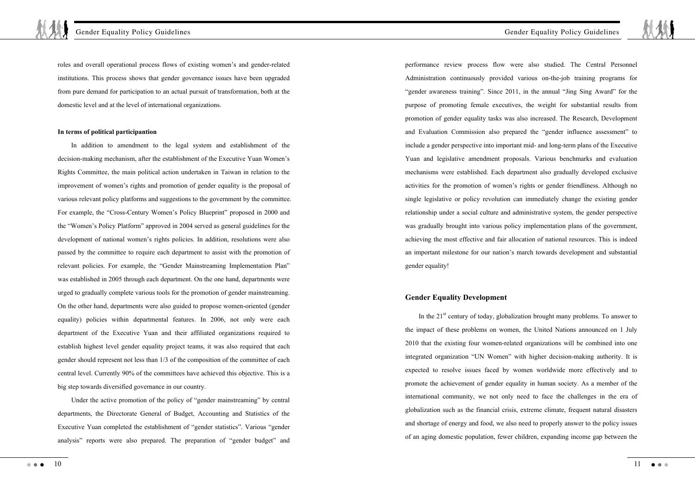roles and overall operational process flows of existing women's and gender-related institutions. This process shows that gender governance issues have been upgraded from pure demand for participation to an actual pursuit of transformation, both at the domestic level and at the level of international organizations.

#### **In terms of political participantion**

In addition to amendment to the legal system and establishment of the decision-making mechanism, after the establishment of the Executive Yuan Women's Rights Committee, the main political action undertaken in Taiwan in relation to the improvement of women's rights and promotion of gender equality is the proposal of various relevant policy platforms and suggestions to the government by the committee. For example, the "Cross-Century Women's Policy Blueprint" proposed in 2000 and the "Women's Policy Platform" approved in 2004 served as general guidelines for the development of national women's rights policies. In addition, resolutions were also passed by the committee to require each department to assist with the promotion of relevant policies. For example, the "Gender Mainstreaming Implementation Plan" was established in 2005 through each department. On the one hand, departments were urged to gradually complete various tools for the promotion of gender mainstreaming. On the other hand, departments were also guided to propose women-oriented (gender equality) policies within departmental features. In 2006, not only were each department of the Executive Yuan and their affiliated organizations required to establish highest level gender equality project teams, it was also required that each gender should represent not less than 1/3 of the composition of the committee of each central level. Currently 90% of the committees have achieved this objective. This is a big step towards diversified governance in our country.

Under the active promotion of the policy of "gender mainstreaming" by central departments, the Directorate General of Budget, Accounting and Statistics of the Executive Yuan completed the establishment of "gender statistics". Various "gender analysis" reports were also prepared. The preparation of "gender budget" and

10  $\sim$   $\sim$   $\sim$ 

performance review process flow were also studied. The Central Personnel Administration continuously provided various on-the-job training programs for "gender awareness training". Since 2011, in the annual "Jing Sing Award" for the purpose of promoting female executives, the weight for substantial results from promotion of gender equality tasks was also increased. The Research, Development and Evaluation Commission also prepared the "gender influence assessment" to include a gender perspective into important mid- and long-term plans of the Executive Yuan and legislative amendment proposals. Various benchmarks and evaluation mechanisms were established. Each department also gradually developed exclusive activities for the promotion of women's rights or gender friendliness. Although no single legislative or policy revolution can immediately change the existing gender relationship under a social culture and administrative system, the gender perspective was gradually brought into various policy implementation plans of the government, achieving the most effective and fair allocation of national resources. This is indeed an important milestone for our nation's march towards development and substantial gender equality!

## **Gender Equality Development**

In the  $21<sup>st</sup>$  century of today, globalization brought many problems. To answer to the impact of these problems on women, the United Nations announced on 1 July 2010 that the existing four women-related organizations will be combined into one integrated organization "UN Women" with higher decision-making authority. It is expected to resolve issues faced by women worldwide more effectively and to promote the achievement of gender equality in human society. As a member of the international community, we not only need to face the challenges in the era of globalization such as the financial crisis, extreme climate, frequent natural disasters and shortage of energy and food, we also need to properly answer to the policy issues of an aging domestic population, fewer children, expanding income gap between the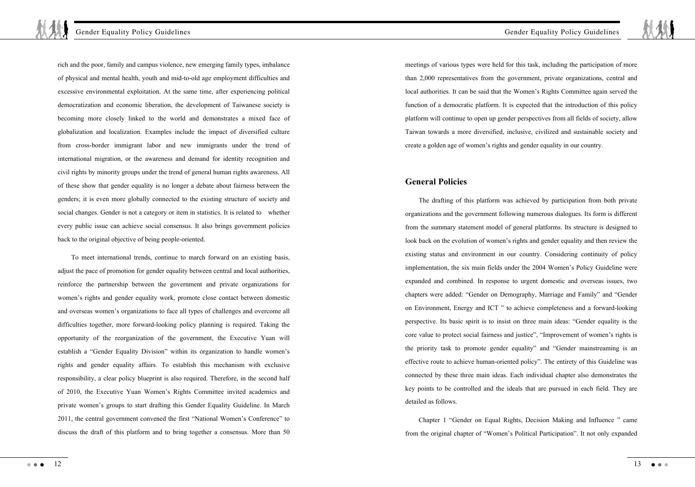back to the original objective of being people-oriented.

rich and the poor, family and campus violence, new emerging family types, imbalance of physical and mental health, youth and mid-to-old age employment difficulties and excessive environmental exploitation. At the same time, after experiencing political democratization and economic liberation, the development of Taiwanese society is becoming more closely linked to the world and demonstrates a mixed face of globalization and localization. Examples include the impact of diversified culture from cross-border immigrant labor and new immigrants under the trend of international migration, or the awareness and demand for identity recognition and civil rights by minority groups under the trend of general human rights awareness. All of these show that gender equality is no longer a debate about fairness between the genders; it is even more globally connected to the existing structure of society and social changes. Gender is not a category or item in statistics. It is related to whether every public issue can achieve social consensus. It also brings government policies

To meet international trends, continue to march forward on an existing basis, adjust the pace of promotion for gender equality between central and local authorities, reinforce the partnership between the government and private organizations for women's rights and gender equality work, promote close contact between domestic and overseas women's organizations to face all types of challenges and overcome all difficulties together, more forward-looking policy planning is required. Taking the opportunity of the reorganization of the government, the Executive Yuan will establish a "Gender Equality Division" within its organization to handle women's rights and gender equality affairs. To establish this mechanism with exclusive responsibility, a clear policy blueprint is also required. Therefore, in the second half of 2010, the Executive Yuan Women's Rights Committee invited academics and private women's groups to start drafting this Gender Equality Guideline. In March 2011, the central government convened the first "National Women's Conference" to discuss the draft of this platform and to bring together a consensus. More than 50

Gender Equality Policy Guidelines

meetings of various types were held for this task, including the participation of more than 2,000 representatives from the government, private organizations, central and local authorities. It can be said that the Women's Rights Committee again served the function of a democratic platform. It is expected that the introduction of this policy platform will continue to open up gender perspectives from all fields of society, allow Taiwan towards a more diversified, inclusive, civilized and sustainable society and create a golden age of women's rights and gender equality in our country.

## **General Policies**

The drafting of this platform was achieved by participation from both private organizations and the government following numerous dialogues. Its form is different from the summary statement model of general platforms. Its structure is designed to look back on the evolution of women's rights and gender equality and then review the existing status and environment in our country. Considering continuity of policy implementation, the six main fields under the 2004 Women's Policy Guideline were expanded and combined. In response to urgent domestic and overseas issues, two chapters were added: "Gender on Demography, Marriage and Family" and "Gender on Environment, Energy and ICT " to achieve completeness and a forward-looking perspective. Its basic spirit is to insist on three main ideas: "Gender equality is the core value to protect social fairness and justice", "Improvement of women's rights is the priority task to promote gender equality" and "Gender mainstreaming is an effective route to achieve human-oriented policy". The entirety of this Guideline was connected by these three main ideas. Each individual chapter also demonstrates the key points to be controlled and the ideals that are pursued in each field. They are detailed as follows.

Chapter 1 "Gender on Equal Rights, Decision Making and Influence " came from the original chapter of "Women's Political Participation". It not only expanded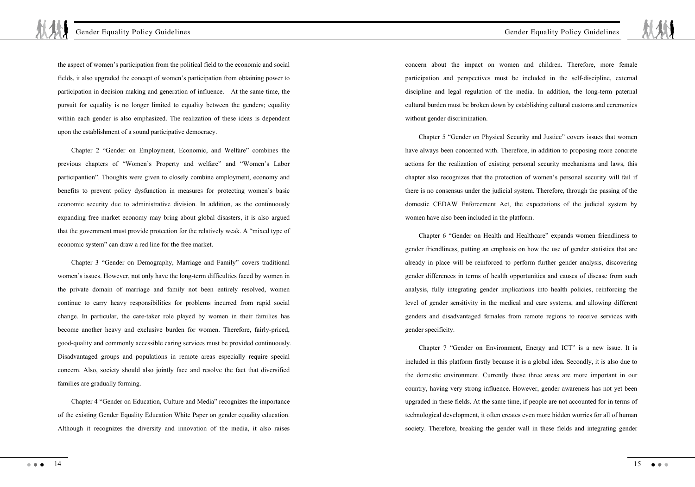the aspect of women's participation from the political field to the economic and social fields, it also upgraded the concept of women's participation from obtaining power to participation in decision making and generation of influence. At the same time, the pursuit for equality is no longer limited to equality between the genders; equality within each gender is also emphasized. The realization of these ideas is dependent upon the establishment of a sound participative democracy.

Chapter 2 "Gender on Employment, Economic, and Welfare" combines the previous chapters of "Women's Property and welfare" and "Women's Labor participantion". Thoughts were given to closely combine employment, economy and benefits to prevent policy dysfunction in measures for protecting women's basic economic security due to administrative division. In addition, as the continuously expanding free market economy may bring about global disasters, it is also argued that the government must provide protection for the relatively weak. A "mixed type of economic system" can draw a red line for the free market.

Chapter 3 "Gender on Demography, Marriage and Family" covers traditional women's issues. However, not only have the long-term difficulties faced by women in the private domain of marriage and family not been entirely resolved, women continue to carry heavy responsibilities for problems incurred from rapid social change. In particular, the care-taker role played by women in their families has become another heavy and exclusive burden for women. Therefore, fairly-priced, good-quality and commonly accessible caring services must be provided continuously. Disadvantaged groups and populations in remote areas especially require special concern. Also, society should also jointly face and resolve the fact that diversified families are gradually forming.

Chapter 4 "Gender on Education, Culture and Media" recognizes the importance of the existing Gender Equality Education White Paper on gender equality education. Although it recognizes the diversity and innovation of the media, it also raises

concern about the impact on women and children. Therefore, more female participation and perspectives must be included in the self-discipline, external discipline and legal regulation of the media. In addition, the long-term paternal cultural burden must be broken down by establishing cultural customs and ceremonies without gender discrimination.

Chapter 5 "Gender on Physical Security and Justice" covers issues that women have always been concerned with. Therefore, in addition to proposing more concrete actions for the realization of existing personal security mechanisms and laws, this chapter also recognizes that the protection of women's personal security will fail if there is no consensus under the judicial system. Therefore, through the passing of the domestic CEDAW Enforcement Act, the expectations of the judicial system by women have also been included in the platform.

Chapter 6 "Gender on Health and Healthcare" expands women friendliness to gender friendliness, putting an emphasis on how the use of gender statistics that are already in place will be reinforced to perform further gender analysis, discovering gender differences in terms of health opportunities and causes of disease from such analysis, fully integrating gender implications into health policies, reinforcing the level of gender sensitivity in the medical and care systems, and allowing different genders and disadvantaged females from remote regions to receive services with gender specificity.

Chapter 7 "Gender on Environment, Energy and ICT" is a new issue. It is included in this platform firstly because it is a global idea. Secondly, it is also due to the domestic environment. Currently these three areas are more important in our country, having very strong influence. However, gender awareness has not yet been upgraded in these fields. At the same time, if people are not accounted for in terms of technological development, it often creates even more hidden worries for all of human society. Therefore, breaking the gender wall in these fields and integrating gender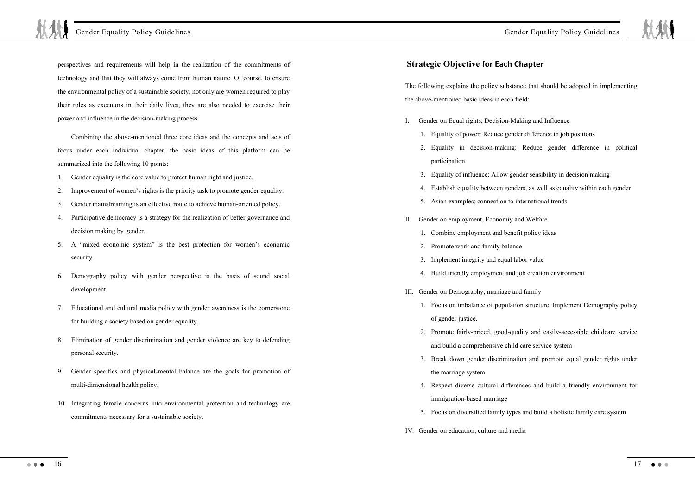perspectives and requirements will help in the realization of the commitments of technology and that they will always come from human nature. Of course, to ensure the environmental policy of a sustainable society, not only are women required to play their roles as executors in their daily lives, they are also needed to exercise their power and influence in the decision-making process.

Combining the above-mentioned three core ideas and the concepts and acts of focus under each individual chapter, the basic ideas of this platform can be summarized into the following 10 points:

- 1. Gender equality is the core value to protect human right and justice.
- 2. Improvement of women's rights is the priority task to promote gender equality.
- 3. Gender mainstreaming is an effective route to achieve human-oriented policy.
- 4. Participative democracy is a strategy for the realization of better governance and decision making by gender.
- 5. A "mixed economic system" is the best protection for women's economic security.
- 6. Demography policy with gender perspective is the basis of sound social development.
- 7. Educational and cultural media policy with gender awareness is the cornerstone for building a society based on gender equality.
- 8. Elimination of gender discrimination and gender violence are key to defending personal security.
- 9. Gender specifics and physical-mental balance are the goals for promotion of multi-dimensional health policy.
- 10. Integrating female concerns into environmental protection and technology are commitments necessary for a sustainable society.

## **Strategic Objective for Each Chapter**

The following explains the policy substance that should be adopted in implementing the above-mentioned basic ideas in each field:

- I. Gender on Equal rights, Decision-Making and Influence
	- 1. Equality of power: Reduce gender difference in job positions
	- 2. Equality in decision-making: Reduce gender difference in political participation
	- 3. Equality of influence: Allow gender sensibility in decision making
	- 4. Establish equality between genders, as well as equality within each gender
	- 5. Asian examples; connection to international trends
- II. Gender on employment, Economiy and Welfare
	- 1. Combine employment and benefit policy ideas
	- 2. Promote work and family balance
	- 3. Implement integrity and equal labor value
	- 4. Build friendly employment and job creation environment
- III. Gender on Demography, marriage and family
	- 1. Focus on imbalance of population structure. Implement Demography policy of gender justice.
	- 2. Promote fairly-priced, good-quality and easily-accessible childcare service and build a comprehensive child care service system
	- 3. Break down gender discrimination and promote equal gender rights under the marriage system
	- 4. Respect diverse cultural differences and build a friendly environment for immigration-based marriage
	- 5. Focus on diversified family types and build a holistic family care system
- IV. Gender on education, culture and media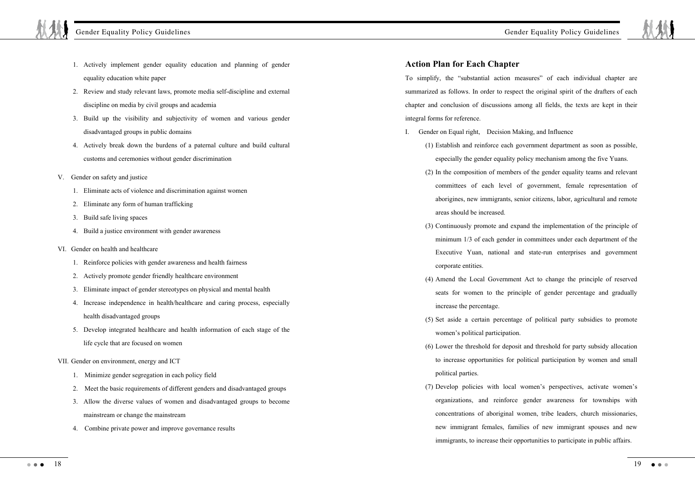- 1. Actively implement gender equality education and planning of gender equality education white paper
- 2. Review and study relevant laws, promote media self-discipline and external discipline on media by civil groups and academia
- 3. Build up the visibility and subjectivity of women and various gender disadvantaged groups in public domains
- 4. Actively break down the burdens of a paternal culture and build cultural customs and ceremonies without gender discrimination
- V. Gender on safety and justice
	- 1. Eliminate acts of violence and discrimination against women
	- 2. Eliminate any form of human trafficking
	- 3. Build safe living spaces
	- 4. Build a justice environment with gender awareness
- VI. Gender on health and healthcare
	- 1. Reinforce policies with gender awareness and health fairness
	- 2. Actively promote gender friendly healthcare environment
	- 3. Eliminate impact of gender stereotypes on physical and mental health
	- 4. Increase independence in health/healthcare and caring process, especially health disadvantaged groups
	- 5. Develop integrated healthcare and health information of each stage of the life cycle that are focused on women
- VII. Gender on environment, energy and ICT
	- 1. Minimize gender segregation in each policy field
	- 2. Meet the basic requirements of different genders and disadvantaged groups
	- 3. Allow the diverse values of women and disadvantaged groups to become mainstream or change the mainstream
	- 4. Combine private power and improve governance results

# **Action Plan for Each Chapter**

To simplify, the "substantial action measures" of each individual chapter are summarized as follows. In order to respect the original spirit of the drafters of each chapter and conclusion of discussions among all fields, the texts are kept in their integral forms for reference.

- I. Gender on Equal right, Decision Making, and Influence
	- (1) Establish and reinforce each government department as soon as possible, especially the gender equality policy mechanism among the five Yuans.
	- (2) In the composition of members of the gender equality teams and relevant committees of each level of government, female representation of aborigines, new immigrants, senior citizens, labor, agricultural and remote areas should be increased.
	- (3) Continuously promote and expand the implementation of the principle of minimum 1/3 of each gender in committees under each department of the Executive Yuan, national and state-run enterprises and government corporate entities.
	- (4) Amend the Local Government Act to change the principle of reserved seats for women to the principle of gender percentage and gradually increase the percentage.
	- (5) Set aside a certain percentage of political party subsidies to promote women's political participation.
	- (6) Lower the threshold for deposit and threshold for party subsidy allocation to increase opportunities for political participation by women and small political parties.
	- (7) Develop policies with local women's perspectives, activate women's organizations, and reinforce gender awareness for townships with concentrations of aboriginal women, tribe leaders, church missionaries, new immigrant females, families of new immigrant spouses and new immigrants, to increase their opportunities to participate in public affairs.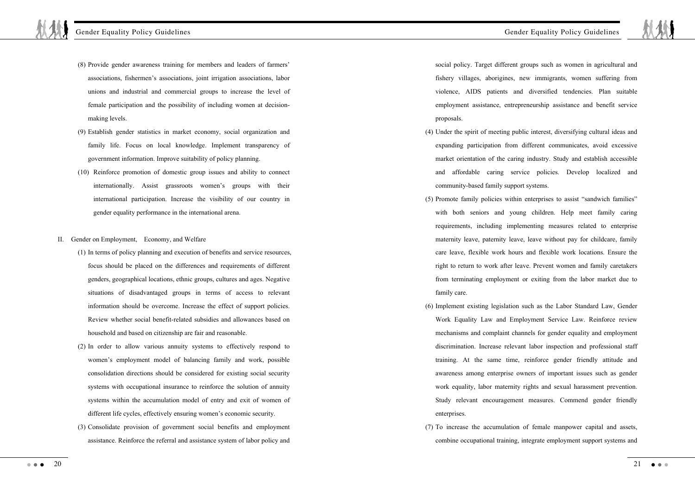- (8) Provide gender awareness training for members and leaders of farmers' associations, fishermen's associations, joint irrigation associations, labor unions and industrial and commercial groups to increase the level of female participation and the possibility of including women at decisionmaking levels.
- (9) Establish gender statistics in market economy, social organization and family life. Focus on local knowledge. Implement transparency of government information. Improve suitability of policy planning.
- (10) Reinforce promotion of domestic group issues and ability to connect internationally. Assist grassroots women's groups with their international participation. Increase the visibility of our country in gender equality performance in the international arena.
- II. Gender on Employment, Economy, and Welfare
	- (1) In terms of policy planning and execution of benefits and service resources, focus should be placed on the differences and requirements of different genders, geographical locations, ethnic groups, cultures and ages. Negative situations of disadvantaged groups in terms of access to relevant information should be overcome. Increase the effect of support policies. Review whether social benefit-related subsidies and allowances based on household and based on citizenship are fair and reasonable.
	- (2) In order to allow various annuity systems to effectively respond to women's employment model of balancing family and work, possible consolidation directions should be considered for existing social security systems with occupational insurance to reinforce the solution of annuity systems within the accumulation model of entry and exit of women of different life cycles, effectively ensuring women's economic security.
	- (3) Consolidate provision of government social benefits and employment assistance. Reinforce the referral and assistance system of labor policy and

social policy. Target different groups such as women in agricultural and fishery villages, aborigines, new immigrants, women suffering from violence, AIDS patients and diversified tendencies. Plan suitable employment assistance, entrepreneurship assistance and benefit service proposals.

- (4) Under the spirit of meeting public interest, diversifying cultural ideas and expanding participation from different communicates, avoid excessive market orientation of the caring industry. Study and establish accessible and affordable caring service policies. Develop localized and community-based family support systems.
- (5) Promote family policies within enterprises to assist "sandwich families" with both seniors and young children. Help meet family caring requirements, including implementing measures related to enterprise maternity leave, paternity leave, leave without pay for childcare, family care leave, flexible work hours and flexible work locations. Ensure the right to return to work after leave. Prevent women and family caretakers from terminating employment or exiting from the labor market due to family care.
- (6) Implement existing legislation such as the Labor Standard Law, Gender Work Equality Law and Employment Service Law. Reinforce review mechanisms and complaint channels for gender equality and employment discrimination. Increase relevant labor inspection and professional staff training. At the same time, reinforce gender friendly attitude and awareness among enterprise owners of important issues such as gender work equality, labor maternity rights and sexual harassment prevention. Study relevant encouragement measures. Commend gender friendly enterprises
- (7) To increase the accumulation of female manpower capital and assets, combine occupational training, integrate employment support systems and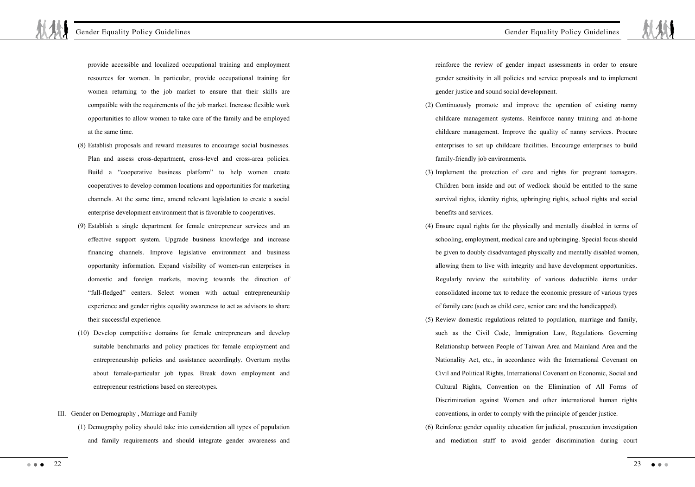provide accessible and localized occupational training and employment resources for women. In particular, provide occupational training for women returning to the job market to ensure that their skills are compatible with the requirements of the job market. Increase flexible work opportunities to allow women to take care of the family and be employed at the same time.

- (8) Establish proposals and reward measures to encourage social businesses. Plan and assess cross-department, cross-level and cross-area policies. Build a "cooperative business platform" to help women create cooperatives to develop common locations and opportunities for marketing channels. At the same time, amend relevant legislation to create a social enterprise development environment that is favorable to cooperatives.
- (9) Establish a single department for female entrepreneur services and an effective support system. Upgrade business knowledge and increase financing channels. Improve legislative environment and business opportunity information. Expand visibility of women-run enterprises in domestic and foreign markets, moving towards the direction of "full-fledged" centers. Select women with actual entrepreneurship experience and gender rights equality awareness to act as advisors to share their successful experience.
- (10) Develop competitive domains for female entrepreneurs and develop suitable benchmarks and policy practices for female employment and entrepreneurship policies and assistance accordingly. Overturn myths about female-particular job types. Break down employment and entrepreneur restrictions based on stereotypes.
- III. Gender on Demography , Marriage and Family
	- (1) Demography policy should take into consideration all types of population and family requirements and should integrate gender awareness and

reinforce the review of gender impact assessments in order to ensure gender sensitivity in all policies and service proposals and to implement gender justice and sound social development.

- (2) Continuously promote and improve the operation of existing nanny childcare management systems. Reinforce nanny training and at-home childcare management. Improve the quality of nanny services. Procure enterprises to set up childcare facilities. Encourage enterprises to build family-friendly job environments.
- (3) Implement the protection of care and rights for pregnant teenagers. Children born inside and out of wedlock should be entitled to the same survival rights, identity rights, upbringing rights, school rights and social benefits and services.
- (4) Ensure equal rights for the physically and mentally disabled in terms of schooling, employment, medical care and upbringing. Special focus should be given to doubly disadvantaged physically and mentally disabled women, allowing them to live with integrity and have development opportunities. Regularly review the suitability of various deductible items under consolidated income tax to reduce the economic pressure of various types of family care (such as child care, senior care and the handicapped).
- (5) Review domestic regulations related to population, marriage and family, such as the Civil Code, Immigration Law, Regulations Governing Relationship between People of Taiwan Area and Mainland Area and the Nationality Act, etc., in accordance with the International Covenant on Civil and Political Rights, International Covenant on Economic, Social and Cultural Rights, Convention on the Elimination of All Forms of Discrimination against Women and other international human rights conventions, in order to comply with the principle of gender justice.
- (6) Reinforce gender equality education for judicial, prosecution investigation and mediation staff to avoid gender discrimination during court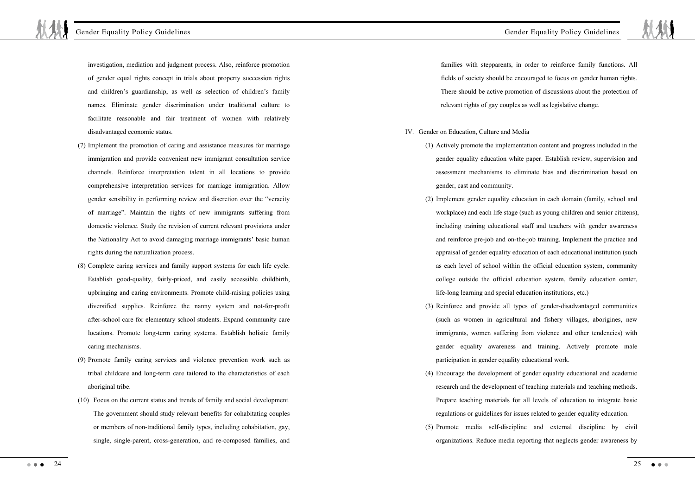investigation, mediation and judgment process. Also, reinforce promotion of gender equal rights concept in trials about property succession rights and children's guardianship, as well as selection of children's family names. Eliminate gender discrimination under traditional culture to facilitate reasonable and fair treatment of women with relatively disadvantaged economic status.

- (7) Implement the promotion of caring and assistance measures for marriage immigration and provide convenient new immigrant consultation service channels. Reinforce interpretation talent in all locations to provide comprehensive interpretation services for marriage immigration. Allow gender sensibility in performing review and discretion over the "veracity of marriage". Maintain the rights of new immigrants suffering from domestic violence. Study the revision of current relevant provisions under the Nationality Act to avoid damaging marriage immigrants' basic human rights during the naturalization process.
- (8) Complete caring services and family support systems for each life cycle. Establish good-quality, fairly-priced, and easily accessible childbirth, upbringing and caring environments. Promote child-raising policies using diversified supplies. Reinforce the nanny system and not-for-profit after-school care for elementary school students. Expand community care locations. Promote long-term caring systems. Establish holistic family caring mechanisms.
- (9) Promote family caring services and violence prevention work such as tribal childcare and long-term care tailored to the characteristics of each aboriginal tribe.
- (10) Focus on the current status and trends of family and social development. The government should study relevant benefits for cohabitating couples or members of non-traditional family types, including cohabitation, gay, single, single-parent, cross-generation, and re-composed families, and

families with stepparents, in order to reinforce family functions. All fields of society should be encouraged to focus on gender human rights. There should be active promotion of discussions about the protection of relevant rights of gay couples as well as legislative change.

- IV. Gender on Education, Culture and Media
	- (1) Actively promote the implementation content and progress included in the gender equality education white paper. Establish review, supervision and assessment mechanisms to eliminate bias and discrimination based on gender, cast and community.
	- (2) Implement gender equality education in each domain (family, school and workplace) and each life stage (such as young children and senior citizens), including training educational staff and teachers with gender awareness and reinforce pre-job and on-the-job training. Implement the practice and appraisal of gender equality education of each educational institution (such as each level of school within the official education system, community college outside the official education system, family education center, life-long learning and special education institutions, etc.)
	- (3) Reinforce and provide all types of gender-disadvantaged communities (such as women in agricultural and fishery villages, aborigines, new immigrants, women suffering from violence and other tendencies) with gender equality awareness and training. Actively promote male participation in gender equality educational work.
	- (4) Encourage the development of gender equality educational and academic research and the development of teaching materials and teaching methods. Prepare teaching materials for all levels of education to integrate basic regulations or guidelines for issues related to gender equality education.
	- (5) Promote media self-discipline and external discipline by civil organizations. Reduce media reporting that neglects gender awareness by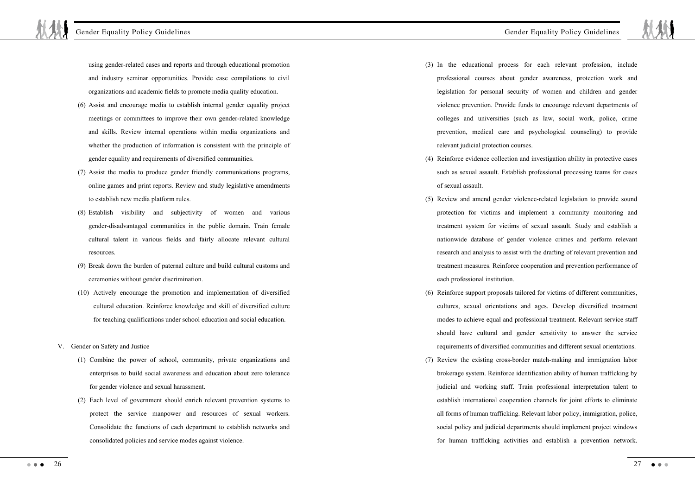using gender-related cases and reports and through educational promotion and industry seminar opportunities. Provide case compilations to civil organizations and academic fields to promote media quality education.

- (6) Assist and encourage media to establish internal gender equality project meetings or committees to improve their own gender-related knowledge and skills. Review internal operations within media organizations and whether the production of information is consistent with the principle of gender equality and requirements of diversified communities.
- (7) Assist the media to produce gender friendly communications programs, online games and print reports. Review and study legislative amendments to establish new media platform rules.
- (8) Establish visibility and subjectivity of women and various gender-disadvantaged communities in the public domain. Train female cultural talent in various fields and fairly allocate relevant cultural resources.
- (9) Break down the burden of paternal culture and build cultural customs and ceremonies without gender discrimination.
- (10) Actively encourage the promotion and implementation of diversified cultural education. Reinforce knowledge and skill of diversified culture for teaching qualifications under school education and social education.
- V. Gender on Safety and Justice
	- (1) Combine the power of school, community, private organizations and enterprises to build social awareness and education about zero tolerance for gender violence and sexual harassment.
	- (2) Each level of government should enrich relevant prevention systems to protect the service manpower and resources of sexual workers. Consolidate the functions of each department to establish networks and consolidated policies and service modes against violence.
- (3) In the educational process for each relevant profession, include professional courses about gender awareness, protection work and legislation for personal security of women and children and gender violence prevention. Provide funds to encourage relevant departments of colleges and universities (such as law, social work, police, crime prevention, medical care and psychological counseling) to provide relevant judicial protection courses.
- (4) Reinforce evidence collection and investigation ability in protective cases such as sexual assault. Establish professional processing teams for cases of sexual assault.
- (5) Review and amend gender violence-related legislation to provide sound protection for victims and implement a community monitoring and treatment system for victims of sexual assault. Study and establish a nationwide database of gender violence crimes and perform relevant research and analysis to assist with the drafting of relevant prevention and treatment measures. Reinforce cooperation and prevention performance of each professional institution.
- (6) Reinforce support proposals tailored for victims of different communities, cultures, sexual orientations and ages. Develop diversified treatment modes to achieve equal and professional treatment. Relevant service staff should have cultural and gender sensitivity to answer the service requirements of diversified communities and different sexual orientations.
- (7) Review the existing cross-border match-making and immigration labor brokerage system. Reinforce identification ability of human trafficking by judicial and working staff. Train professional interpretation talent to establish international cooperation channels for joint efforts to eliminate all forms of human trafficking. Relevant labor policy, immigration, police, social policy and judicial departments should implement project windows for human trafficking activities and establish a prevention network.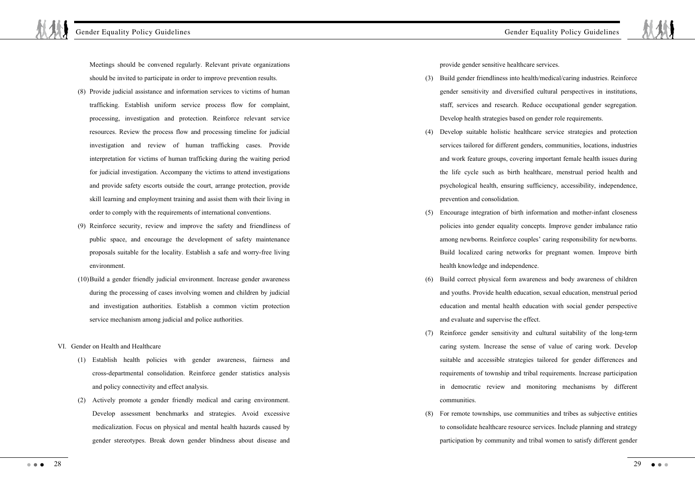Meetings should be convened regularly. Relevant private organizations should be invited to participate in order to improve prevention results.

- (8) Provide judicial assistance and information services to victims of human trafficking. Establish uniform service process flow for complaint, processing, investigation and protection. Reinforce relevant service resources. Review the process flow and processing timeline for judicial investigation and review of human trafficking cases. Provide interpretation for victims of human trafficking during the waiting period for judicial investigation. Accompany the victims to attend investigations and provide safety escorts outside the court, arrange protection, provide skill learning and employment training and assist them with their living in order to comply with the requirements of international conventions.
- (9) Reinforce security, review and improve the safety and friendliness of public space, and encourage the development of safety maintenance proposals suitable for the locality. Establish a safe and worry-free living environment.
- (10)Build a gender friendly judicial environment. Increase gender awareness during the processing of cases involving women and children by judicial and investigation authorities. Establish a common victim protection service mechanism among judicial and police authorities.
- VI. Gender on Health and Healthcare
	- (1) Establish health policies with gender awareness, fairness and cross-departmental consolidation. Reinforce gender statistics analysis and policy connectivity and effect analysis.
	- (2) Actively promote a gender friendly medical and caring environment. Develop assessment benchmarks and strategies. Avoid excessive medicalization. Focus on physical and mental health hazards caused by gender stereotypes. Break down gender blindness about disease and

provide gender sensitive healthcare services.

- (3) Build gender friendliness into health/medical/caring industries. Reinforce gender sensitivity and diversified cultural perspectives in institutions, staff, services and research. Reduce occupational gender segregation. Develop health strategies based on gender role requirements.
- (4) Develop suitable holistic healthcare service strategies and protection services tailored for different genders, communities, locations, industries and work feature groups, covering important female health issues during the life cycle such as birth healthcare, menstrual period health and psychological health, ensuring sufficiency, accessibility, independence, prevention and consolidation.
- (5) Encourage integration of birth information and mother-infant closeness policies into gender equality concepts. Improve gender imbalance ratio among newborns. Reinforce couples' caring responsibility for newborns. Build localized caring networks for pregnant women. Improve birth health knowledge and independence.
- (6) Build correct physical form awareness and body awareness of children and youths. Provide health education, sexual education, menstrual period education and mental health education with social gender perspective and evaluate and supervise the effect.
- (7) Reinforce gender sensitivity and cultural suitability of the long-term caring system. Increase the sense of value of caring work. Develop suitable and accessible strategies tailored for gender differences and requirements of township and tribal requirements. Increase participation in democratic review and monitoring mechanisms by different communities.
- (8) For remote townships, use communities and tribes as subjective entities to consolidate healthcare resource services. Include planning and strategy participation by community and tribal women to satisfy different gender